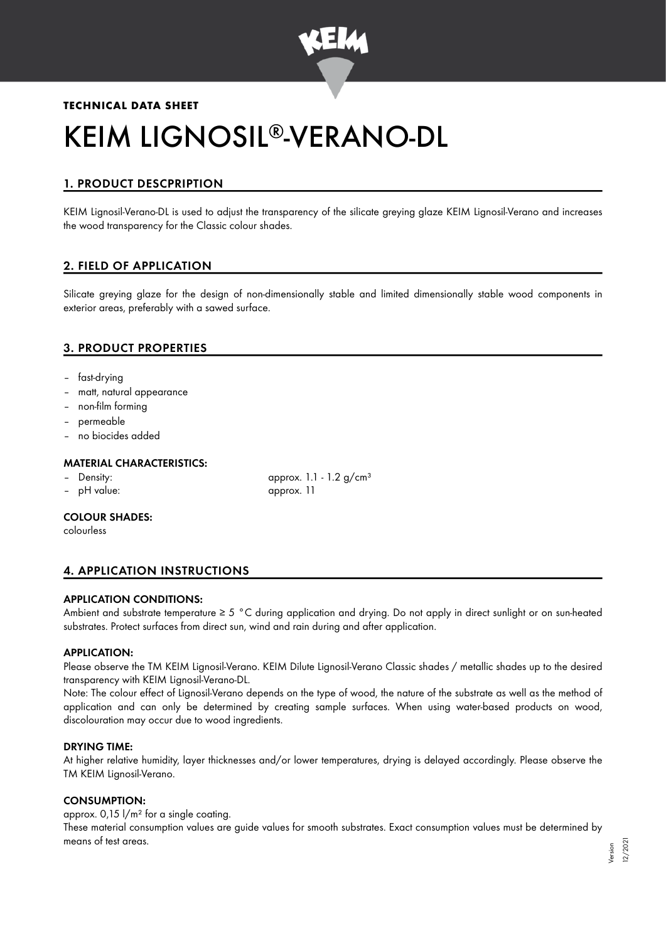

# **TECHNICAL DATA SHEET** KEIM LIGNOSIL®-VERANO-DL

## 1. PRODUCT DESCPRIPTION

KEIM Lignosil-Verano-DL is used to adjust the transparency of the silicate greying glaze KEIM Lignosil-Verano and increases the wood transparency for the Classic colour shades.

## 2. FIELD OF APPLICATION

Silicate greying glaze for the design of non-dimensionally stable and limited dimensionally stable wood components in exterior areas, preferably with a sawed surface.

## 3. PRODUCT PROPERTIES

- fast-drying
- matt, natural appearance
- non-film forming
- permeable
- no biocides added

#### MATERIAL CHARACTERISTICS:

- 
- pH value: approx. 11

– Density: approx. 1.1 - 1.2 g/cm<sup>3</sup>

#### COLOUR SHADES:

colourless

## 4. APPLICATION INSTRUCTIONS

#### APPLICATION CONDITIONS:

Ambient and substrate temperature ≥ 5 °C during application and drying. Do not apply in direct sunlight or on sun-heated substrates. Protect surfaces from direct sun, wind and rain during and after application.

#### APPLICATION:

Please observe the TM KEIM Lignosil-Verano. KEIM Dilute Lignosil-Verano Classic shades / metallic shades up to the desired transparency with KEIM Lignosil-Verano-DL.

Note: The colour effect of Lignosil-Verano depends on the type of wood, the nature of the substrate as well as the method of application and can only be determined by creating sample surfaces. When using water-based products on wood, discolouration may occur due to wood ingredients.

#### DRYING TIME:

At higher relative humidity, layer thicknesses and/or lower temperatures, drying is delayed accordingly. Please observe the TM KEIM Lignosil-Verano.

#### CONSUMPTION:

approx. 0,15 l/m² for a single coating.

These material consumption values are guide values for smooth substrates. Exact consumption values must be determined by means of test areas.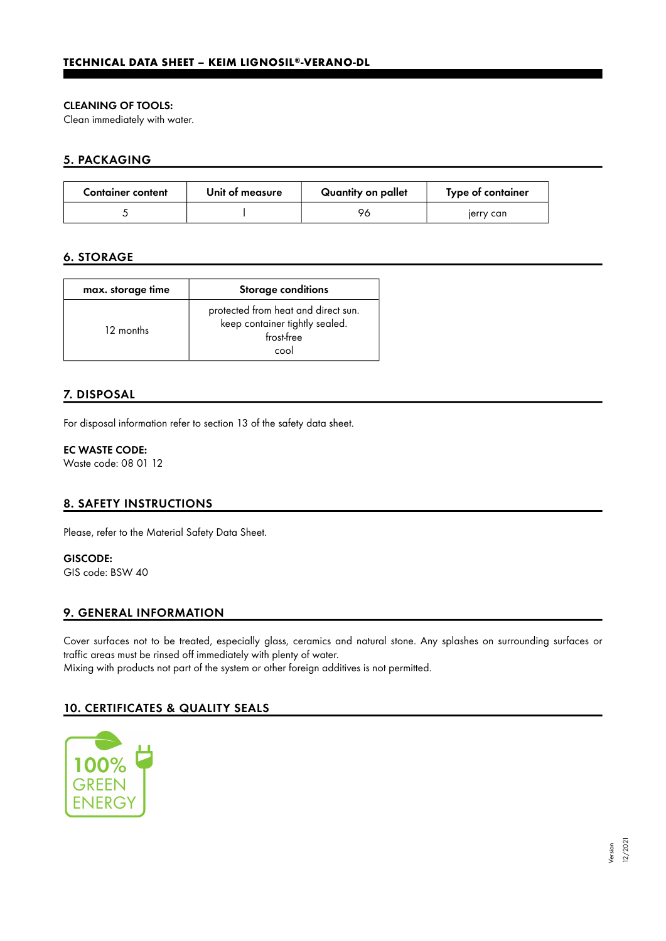#### CLEANING OF TOOLS:

Clean immediately with water.

### 5. PACKAGING

| <b>Container content</b> | Unit of measure | Quantity on pallet | Type of container |
|--------------------------|-----------------|--------------------|-------------------|
|                          |                 | 96                 | jerry can         |

## 6. STORAGE

| max. storage time | <b>Storage conditions</b>                                                                   |  |
|-------------------|---------------------------------------------------------------------------------------------|--|
| 12 months         | protected from heat and direct sun.<br>keep container tightly sealed.<br>frost-free<br>cool |  |

## 7. DISPOSAL

For disposal information refer to section 13 of the safety data sheet.

#### EC WASTE CODE:

Waste code: 08 01 12

## 8. SAFETY INSTRUCTIONS

Please, refer to the Material Safety Data Sheet.

GISCODE: GIS code: BSW 40

## 9. GENERAL INFORMATION

Cover surfaces not to be treated, especially glass, ceramics and natural stone. Any splashes on surrounding surfaces or traffic areas must be rinsed off immediately with plenty of water. Mixing with products not part of the system or other foreign additives is not permitted.

## 10. CERTIFICATES & QUALITY SEALS